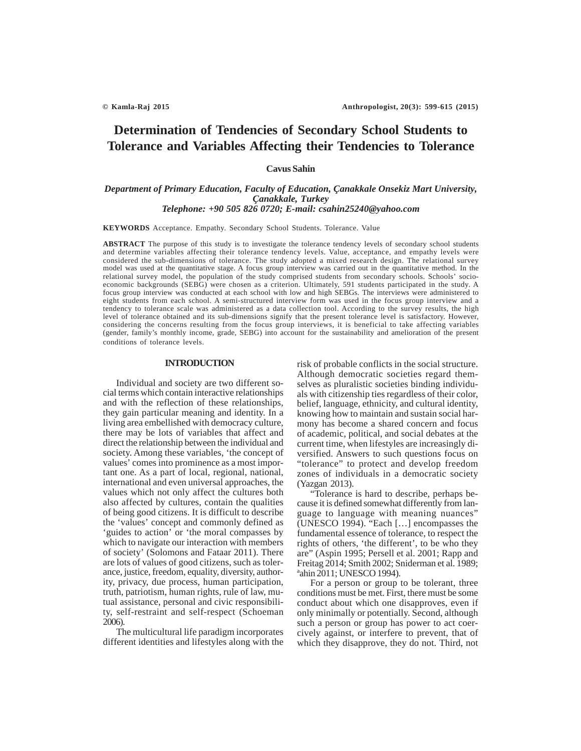# **Determination of Tendencies of Secondary School Students to Tolerance and Variables Affecting their Tendencies to Tolerance**

# **Cavus Sahin**

# *Department of Primary Education, Faculty of Education, Çanakkale Onsekiz Mart University, Çanakkale, Turkey Telephone: +90 505 826 0720; E-mail: csahin25240@yahoo.com*

**KEYWORDS** Acceptance. Empathy. Secondary School Students. Tolerance. Value

**ABSTRACT** The purpose of this study is to investigate the tolerance tendency levels of secondary school students and determine variables affecting their tolerance tendency levels. Value, acceptance, and empathy levels were considered the sub-dimensions of tolerance. The study adopted a mixed research design. The relational survey model was used at the quantitative stage. A focus group interview was carried out in the quantitative method. In the relational survey model, the population of the study comprised students from secondary schools. Schools' socioeconomic backgrounds (SEBG) were chosen as a criterion. Ultimately, 591 students participated in the study. A focus group interview was conducted at each school with low and high SEBGs. The interviews were administered to eight students from each school. A semi-structured interview form was used in the focus group interview and a tendency to tolerance scale was administered as a data collection tool. According to the survey results, the high level of tolerance obtained and its sub-dimensions signify that the present tolerance level is satisfactory. However, considering the concerns resulting from the focus group interviews, it is beneficial to take affecting variables (gender, family's monthly income, grade, SEBG) into account for the sustainability and amelioration of the present conditions of tolerance levels.

#### **INTRODUCTION**

Individual and society are two different social terms which contain interactive relationships and with the reflection of these relationships, they gain particular meaning and identity. In a living area embellished with democracy culture, there may be lots of variables that affect and direct the relationship between the individual and society. Among these variables, 'the concept of values' comes into prominence as a most important one. As a part of local, regional, national, international and even universal approaches, the values which not only affect the cultures both also affected by cultures, contain the qualities of being good citizens. It is difficult to describe the 'values' concept and commonly defined as 'guides to action' or 'the moral compasses by which to navigate our interaction with members of society' (Solomons and Fataar 2011). There are lots of values of good citizens, such as tolerance, justice, freedom, equality, diversity, authority, privacy, due process, human participation, truth, patriotism, human rights, rule of law, mutual assistance, personal and civic responsibility, self-restraint and self-respect (Schoeman 2006).

The multicultural life paradigm incorporates different identities and lifestyles along with the risk of probable conflicts in the social structure. Although democratic societies regard themselves as pluralistic societies binding individuals with citizenship ties regardless of their color, belief, language, ethnicity, and cultural identity, knowing how to maintain and sustain social harmony has become a shared concern and focus of academic, political, and social debates at the current time, when lifestyles are increasingly diversified. Answers to such questions focus on "tolerance" to protect and develop freedom zones of individuals in a democratic society (Yazgan 2013).

"Tolerance is hard to describe, perhaps because it is defined somewhat differently from language to language with meaning nuances" (UNESCO 1994). "Each […] encompasses the fundamental essence of tolerance, to respect the rights of others, 'the different', to be who they are" (Aspin 1995; Persell et al. 2001; Rapp and Freitag 2014; Smith 2002; Sniderman et al. 1989; ªahin 2011; UNESCO 1994).

For a person or group to be tolerant, three conditions must be met. First, there must be some conduct about which one disapproves, even if only minimally or potentially. Second, although such a person or group has power to act coercively against, or interfere to prevent, that of which they disapprove, they do not. Third, not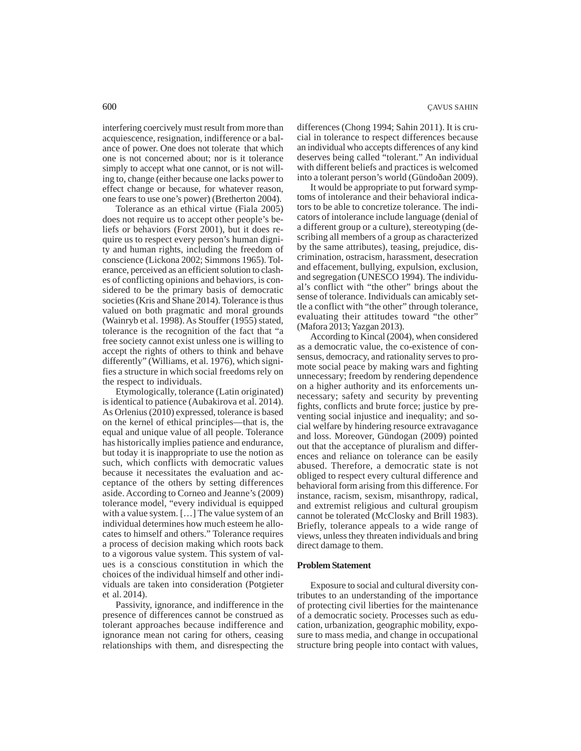interfering coercively must result from more than acquiescence, resignation, indifference or a balance of power. One does not tolerate that which one is not concerned about; nor is it tolerance simply to accept what one cannot, or is not willing to, change (either because one lacks power to effect change or because, for whatever reason, one fears to use one's power) (Bretherton 2004).

Tolerance as an ethical virtue (Fiala 2005) does not require us to accept other people's beliefs or behaviors (Forst 2001), but it does require us to respect every person's human dignity and human rights, including the freedom of conscience (Lickona 2002; Simmons 1965). Tolerance, perceived as an efficient solution to clashes of conflicting opinions and behaviors, is considered to be the primary basis of democratic societies (Kris and Shane 2014). Tolerance is thus valued on both pragmatic and moral grounds (Wainryb et al. 1998). As Stouffer (1955) stated, tolerance is the recognition of the fact that "a free society cannot exist unless one is willing to accept the rights of others to think and behave differently" (Williams, et al. 1976), which signifies a structure in which social freedoms rely on the respect to individuals.

Etymologically, tolerance (Latin originated) is identical to patience (Aubakirova et al. 2014). As Orlenius (2010) expressed, tolerance is based on the kernel of ethical principles—that is, the equal and unique value of all people. Tolerance has historically implies patience and endurance, but today it is inappropriate to use the notion as such, which conflicts with democratic values because it necessitates the evaluation and acceptance of the others by setting differences aside. According to Corneo and Jeanne's (2009) tolerance model, "every individual is equipped with a value system. […] The value system of an individual determines how much esteem he allocates to himself and others." Tolerance requires a process of decision making which roots back to a vigorous value system. This system of values is a conscious constitution in which the choices of the individual himself and other individuals are taken into consideration (Potgieter et al. 2014).

Passivity, ignorance, and indifference in the presence of differences cannot be construed as tolerant approaches because indifference and ignorance mean not caring for others, ceasing relationships with them, and disrespecting the

differences (Chong 1994; Sahin 2011). It is crucial in tolerance to respect differences because an individual who accepts differences of any kind deserves being called "tolerant." An individual with different beliefs and practices is welcomed into a tolerant person's world (Gündoðan 2009).

It would be appropriate to put forward symptoms of intolerance and their behavioral indicators to be able to concretize tolerance. The indicators of intolerance include language (denial of a different group or a culture), stereotyping (describing all members of a group as characterized by the same attributes), teasing, prejudice, discrimination, ostracism, harassment, desecration and effacement, bullying, expulsion, exclusion, and segregation (UNESCO 1994). The individual's conflict with "the other" brings about the sense of tolerance. Individuals can amicably settle a conflict with "the other" through tolerance, evaluating their attitudes toward "the other" (Mafora 2013; Yazgan 2013).

According to Kincal (2004), when considered as a democratic value, the co-existence of consensus, democracy, and rationality serves to promote social peace by making wars and fighting unnecessary; freedom by rendering dependence on a higher authority and its enforcements unnecessary; safety and security by preventing fights, conflicts and brute force; justice by preventing social injustice and inequality; and social welfare by hindering resource extravagance and loss. Moreover, Gündogan (2009) pointed out that the acceptance of pluralism and differences and reliance on tolerance can be easily abused. Therefore, a democratic state is not obliged to respect every cultural difference and behavioral form arising from this difference. For instance, racism, sexism, misanthropy, radical, and extremist religious and cultural groupism cannot be tolerated (McClosky and Brill 1983). Briefly, tolerance appeals to a wide range of views, unless they threaten individuals and bring direct damage to them.

#### **Problem Statement**

Exposure to social and cultural diversity contributes to an understanding of the importance of protecting civil liberties for the maintenance of a democratic society. Processes such as education, urbanization, geographic mobility, exposure to mass media, and change in occupational structure bring people into contact with values,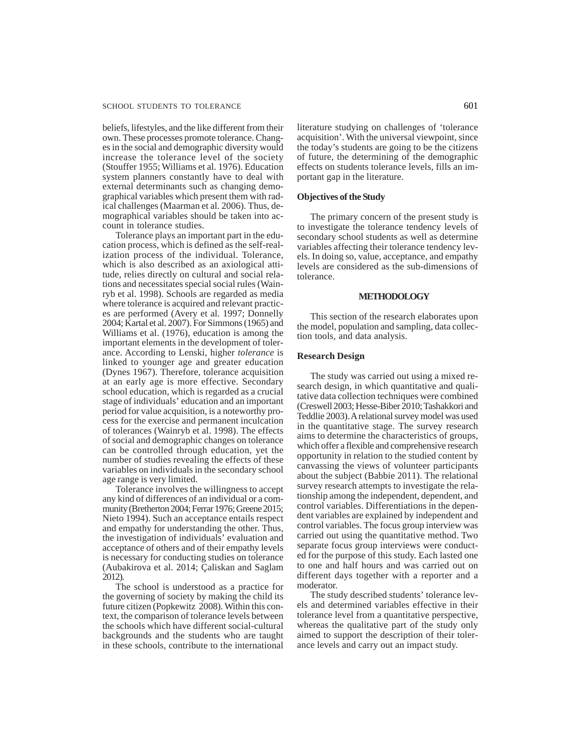### SCHOOL STUDENTS TO TOLERANCE 601

beliefs, lifestyles, and the like different from their own. These processes promote tolerance. Changes in the social and demographic diversity would increase the tolerance level of the society (Stouffer 1955; Williams et al. 1976). Education system planners constantly have to deal with external determinants such as changing demographical variables which present them with radical challenges (Maarman et al. 2006). Thus, demographical variables should be taken into account in tolerance studies.

Tolerance plays an important part in the education process, which is defined as the self-realization process of the individual. Tolerance, which is also described as an axiological attitude, relies directly on cultural and social relations and necessitates special social rules (Wainryb et al. 1998). Schools are regarded as media where tolerance is acquired and relevant practices are performed (Avery et al. 1997; Donnelly 2004; Kartal et al. 2007). For Simmons (1965) and Williams et al. (1976), education is among the important elements in the development of tolerance. According to Lenski, higher *tolerance* is linked to younger age and greater education (Dynes 1967). Therefore, tolerance acquisition at an early age is more effective. Secondary school education, which is regarded as a crucial stage of individuals' education and an important period for value acquisition, is a noteworthy process for the exercise and permanent inculcation of tolerances (Wainryb et al. 1998). The effects of social and demographic changes on tolerance can be controlled through education, yet the number of studies revealing the effects of these variables on individuals in the secondary school age range is very limited.

Tolerance involves the willingness to accept any kind of differences of an individual or a community (Bretherton 2004; Ferrar 1976; Greene 2015; Nieto 1994). Such an acceptance entails respect and empathy for understanding the other. Thus, the investigation of individuals' evaluation and acceptance of others and of their empathy levels is necessary for conducting studies on tolerance (Aubakirova et al. 2014; Çaliskan and Saglam 2012).

The school is understood as a practice for the governing of society by making the child its future citizen (Popkewitz 2008). Within this context, the comparison of tolerance levels between the schools which have different social-cultural backgrounds and the students who are taught in these schools, contribute to the international

literature studying on challenges of 'tolerance acquisition'. With the universal viewpoint, since the today's students are going to be the citizens of future, the determining of the demographic effects on students tolerance levels, fills an important gap in the literature.

# **Objectives of the Study**

The primary concern of the present study is to investigate the tolerance tendency levels of secondary school students as well as determine variables affecting their tolerance tendency levels. In doing so, value, acceptance, and empathy levels are considered as the sub-dimensions of tolerance.

# **METHODOLOGY**

This section of the research elaborates upon the model, population and sampling, data collection tools, and data analysis.

#### **Research Design**

The study was carried out using a mixed research design, in which quantitative and qualitative data collection techniques were combined (Creswell 2003; Hesse-Biber 2010; Tashakkori and Teddlie 2003). A relational survey model was used in the quantitative stage. The survey research aims to determine the characteristics of groups, which offer a flexible and comprehensive research opportunity in relation to the studied content by canvassing the views of volunteer participants about the subject (Babbie 2011). The relational survey research attempts to investigate the relationship among the independent, dependent, and control variables. Differentiations in the dependent variables are explained by independent and control variables. The focus group interview was carried out using the quantitative method. Two separate focus group interviews were conducted for the purpose of this study. Each lasted one to one and half hours and was carried out on different days together with a reporter and a moderator.

The study described students' tolerance levels and determined variables effective in their tolerance level from a quantitative perspective, whereas the qualitative part of the study only aimed to support the description of their tolerance levels and carry out an impact study.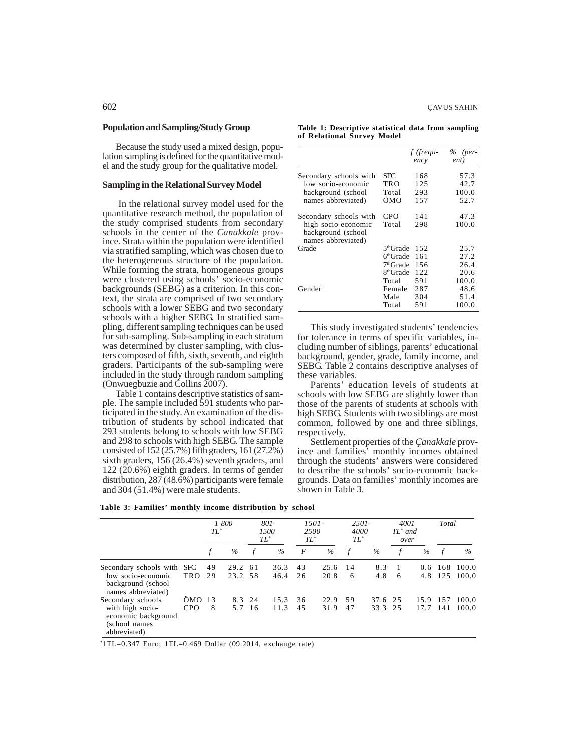#### **Population and Sampling/Study Group**

Because the study used a mixed design, population sampling is defined for the quantitative model and the study group for the qualitative model.

#### **Sampling in the Relational Survey Model**

In the relational survey model used for the quantitative research method, the population of the study comprised students from secondary schools in the center of the *Canakkale* province. Strata within the population were identified via stratified sampling, which was chosen due to the heterogeneous structure of the population. While forming the strata, homogeneous groups were clustered using schools' socio-economic backgrounds (SEBG) as a criterion. In this context, the strata are comprised of two secondary schools with a lower SEBG and two secondary schools with a higher SEBG. In stratified sampling, different sampling techniques can be used for sub-sampling. Sub-sampling in each stratum was determined by cluster sampling, with clusters composed of fifth, sixth, seventh, and eighth graders. Participants of the sub-sampling were included in the study through random sampling (Onwuegbuzie and Collins 2007).

Table 1 contains descriptive statistics of sample. The sample included 591 students who participated in the study. An examination of the distribution of students by school indicated that 293 students belong to schools with low SEBG and 298 to schools with high SEBG. The sample consisted of 152 (25.7%) fifth graders, 161 (27.2%) sixth graders, 156 (26.4%) seventh graders, and 122 (20.6%) eighth graders. In terms of gender distribution, 287 (48.6%) participants were female and 304 (51.4%) were male students.

|                            | Table 1: Descriptive statistical data from sampling |  |  |
|----------------------------|-----------------------------------------------------|--|--|
| of Relational Survev Model |                                                     |  |  |

|                                                                 |                       | f (frequ-<br>ency | $\%$ (per-<br>ent) |
|-----------------------------------------------------------------|-----------------------|-------------------|--------------------|
| Secondary schools with                                          | SFC                   | 168               | 57.3               |
| low socio-economic                                              | TRO                   | 125               | 42.7               |
| background (school                                              | Total                 | 293               | 100.0              |
| names abbreviated)                                              | OMO                   | 157               | 52.7               |
| Secondary schools with                                          | CPO                   | 141               | 47.3               |
| high socio-economic<br>background (school<br>names abbreviated) | Total                 | 298               | 100.0              |
| Grade                                                           | 5 <sup>th</sup> Grade | 152               | 25.7               |
|                                                                 | 6 <sup>th</sup> Grade | 161               | 27.2               |
|                                                                 | 7 <sup>th</sup> Grade | 156               | 26.4               |
|                                                                 | 8 <sup>th</sup> Grade | 122               | 20.6               |
|                                                                 | Total                 | 591               | 100.0              |
| Gender                                                          | Female                | 287               | 48.6               |
|                                                                 | Male                  | 304               | 51.4               |
|                                                                 | Total                 | 591               | 100.0              |

This study investigated students' tendencies for tolerance in terms of specific variables, including number of siblings, parents' educational background, gender, grade, family income, and SEBG. Table 2 contains descriptive analyses of these variables.

Parents' education levels of students at schools with low SEBG are slightly lower than those of the parents of students at schools with high SEBG. Students with two siblings are most common, followed by one and three siblings, respectively.

Settlement properties of the *Çanakkale* province and families' monthly incomes obtained through the students' answers were considered to describe the schools' socio-economic backgrounds. Data on families' monthly incomes are shown in Table 3.

|  |  | Table 3: Families' monthly income distribution by school |  |  |
|--|--|----------------------------------------------------------|--|--|
|  |  |                                                          |  |  |

|                                                                                               |                      | $TL^*$   | 1-800              | $801 -$<br>1500<br>$TL^*$ | 2.500<br>$TL^*$ | $1501 -$     | $2501 -$<br>4000<br>$TL^*$ |                    | 4001<br>$TL^*$ and<br>over |                      | Total      |                |
|-----------------------------------------------------------------------------------------------|----------------------|----------|--------------------|---------------------------|-----------------|--------------|----------------------------|--------------------|----------------------------|----------------------|------------|----------------|
|                                                                                               |                      |          | $\%$               | $\%$                      | F               | %            | f                          | $\%$               | f                          | $\%$                 | $\sqrt{f}$ | $\%$           |
| Secondary schools with SFC<br>low socio-economic<br>background (school<br>names abbreviated)  | TRO                  | 49<br>29 | 29.2 61<br>23.2 58 | 36.3<br>46.4              | 43<br>26        | 25.6<br>20.8 | 14<br>6                    | 8.3<br>4.8         | 6                          | $0.6^{\circ}$<br>4.8 | 168<br>125 | 100.0<br>100.0 |
| Secondary schools<br>with high socio-<br>economic background<br>(school names<br>abbreviated) | OMO 13<br><b>CPO</b> | 8        | 8.3 24<br>5.7 16   | 15.3<br>11.3              | 36<br>45        | 22.9<br>31.9 | 59<br>47                   | 37.6 25<br>33.3 25 |                            | 15.9<br>17.7         | 157<br>141 | 100.0<br>100.0 |

\* 1TL=0.347 Euro; 1TL=0.469 Dollar (09.2014, exchange rate)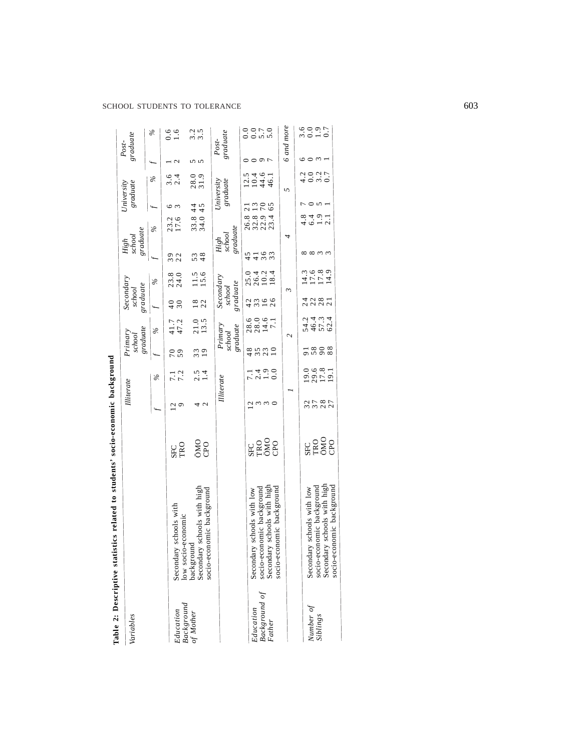|                                      | Table 2: Descriptive statistics related to students' socio-economic background                                      |                          |                      |                       |                                       |                                 |                                 |                                          |                                                                 |                          |                        |                |                     |                         |
|--------------------------------------|---------------------------------------------------------------------------------------------------------------------|--------------------------|----------------------|-----------------------|---------------------------------------|---------------------------------|---------------------------------|------------------------------------------|-----------------------------------------------------------------|--------------------------|------------------------|----------------|---------------------|-------------------------|
| Variables                            |                                                                                                                     |                          | Illiterate           |                       | graduate<br>Primary<br>school         |                                 | Secondary<br>graduate<br>school |                                          | graduate<br>$\begin{array}{lcl} High & \\ school & \end{array}$ |                          | graduate<br>University |                | graduate<br>$Post-$ |                         |
|                                      |                                                                                                                     |                          |                      | $\%$                  | $\overline{f}$                        | $\%$                            |                                 | $\%$                                     |                                                                 | $\%$                     |                        | $\frac{3}{6}$  |                     | $\%$                    |
| Education<br>Background<br>of Mother | Secondary schools with                                                                                              | SEC<br>TRO               | 29                   | 7.2                   | 59<br>$\overline{0}$                  | 41.7<br>47.2                    | 30                              | 23.8<br>24.0                             | 22<br>39                                                        | 23.2<br>17.6             |                        |                |                     | $0.6$<br>1.6            |
|                                      | low socio-economic<br>background<br>Secondary schools with high<br>socio-economic background                        | ONO                      | $\mathbf{C}$         | $\frac{2.4}{1.4}$     | $\begin{array}{c} 3 \\ 1 \end{array}$ | $\frac{21.0}{13.5}$             |                                 | $\frac{11.5}{15.6}$                      | 53<br>48                                                        | 34.0<br>$33.8$ .         | 45<br>$\frac{4}{4}$    | 28.0<br>31.9   |                     | 3.5<br>3.5              |
|                                      |                                                                                                                     |                          | Illiterate           |                       | $gradient$<br>school                  | Primary                         | Secondary<br>graduate<br>school |                                          | $\emph{gradient}$<br>High<br>school                             |                          | University             | graduate       | $Post-$             | $\emph{gradient}$       |
| Background of<br>Father<br>Education | socio-economic background<br>Secondary schools with high<br>socio-economic background<br>Secondary schools with low | 요 <u>.</u><br>또는<br>또는 0 | 2330                 | $7.490$<br>$7.490$    | 85<br>4621                            | $0.0001$<br>$0.0011$<br>$0.011$ | 26<br>4 3<br>3 3<br>$\circ$     | 0 4 0 4<br>0 6 0 4<br>0 0 0 2<br>0 1 0 2 | 33<br>45<br>36                                                  | $32.3$<br>$23.4$<br>26.8 | 65<br>$\frac{13}{70}$  | 10444<br>10444 | $\circ$             | 0.0<br>$0.70$<br>$0.70$ |
|                                      |                                                                                                                     |                          |                      |                       |                                       | $\mathcal{C}$                   |                                 |                                          |                                                                 | 4                        |                        | 5              |                     | 6 and more              |
| Number of<br>Siblings                | Secondary schools with high<br>socio-economic background<br>socio-economic background<br>Secondary schools with low | <b>ENSOR</b><br>EXPOR    | 27<br>37<br>28<br>UΓ | 0.681<br>2012<br>2012 | 88<br>58                              | とすとのとする<br>そうでいい<br>いちこう        | 28                              | 11111<br>11111<br>1111                   | 00 00 m m                                                       | 4.6 – 4.9<br>4.6 – 4.    | $\sim$                 | dour<br>40w0   |                     | 6007                    |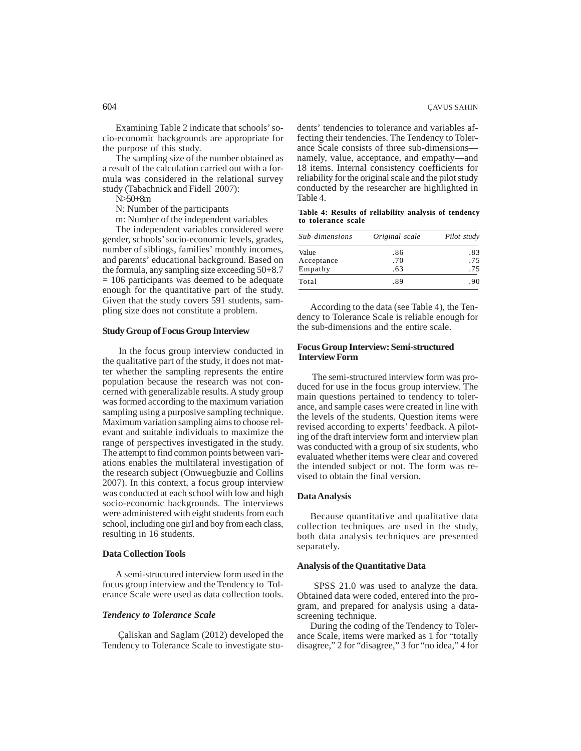Examining Table 2 indicate that schools' socio-economic backgrounds are appropriate for the purpose of this study.

The sampling size of the number obtained as a result of the calculation carried out with a formula was considered in the relational survey study (Tabachnick and Fidell 2007):

N>50+8m

N: Number of the participants

m: Number of the independent variables

The independent variables considered were gender, schools' socio-economic levels, grades, number of siblings, families' monthly incomes, and parents' educational background. Based on the formula, any sampling size exceeding 50+8.7  $= 106$  participants was deemed to be adequate enough for the quantitative part of the study. Given that the study covers 591 students, sampling size does not constitute a problem.

# **Study Group of Focus Group Interview**

In the focus group interview conducted in the qualitative part of the study, it does not matter whether the sampling represents the entire population because the research was not concerned with generalizable results. A study group was formed according to the maximum variation sampling using a purposive sampling technique. Maximum variation sampling aims to choose relevant and suitable individuals to maximize the range of perspectives investigated in the study. The attempt to find common points between variations enables the multilateral investigation of the research subject (Onwuegbuzie and Collins 2007). In this context, a focus group interview was conducted at each school with low and high socio-economic backgrounds. The interviews were administered with eight students from each school, including one girl and boy from each class, resulting in 16 students.

### **Data Collection Tools**

A semi-structured interview form used in the focus group interview and the Tendency to Tolerance Scale were used as data collection tools.

# *Tendency to Tolerance Scale*

Çaliskan and Saglam (2012) developed the Tendency to Tolerance Scale to investigate students' tendencies to tolerance and variables affecting their tendencies. The Tendency to Tolerance Scale consists of three sub-dimensions namely, value, acceptance, and empathy—and 18 items. Internal consistency coefficients for reliability for the original scale and the pilot study conducted by the researcher are highlighted in Table 4.

**Table 4: Results of reliability analysis of tendency to tolerance scale**

| Sub-dimensions | Original scale | Pilot study |
|----------------|----------------|-------------|
| Value          | .86            | .83         |
| Acceptance     | .70            | .75         |
| Empathy        | .63            | .75         |
| Total          | .89            | .90         |

According to the data (see Table 4), the Tendency to Tolerance Scale is reliable enough for the sub-dimensions and the entire scale.

# **Focus Group Interview: Semi-structured Interview Form**

The semi-structured interview form was produced for use in the focus group interview. The main questions pertained to tendency to tolerance, and sample cases were created in line with the levels of the students. Question items were revised according to experts' feedback. A piloting of the draft interview form and interview plan was conducted with a group of six students, who evaluated whether items were clear and covered the intended subject or not. The form was revised to obtain the final version.

# **Data Analysis**

Because quantitative and qualitative data collection techniques are used in the study, both data analysis techniques are presented separately.

# **Analysis of the Quantitative Data**

SPSS 21.0 was used to analyze the data. Obtained data were coded, entered into the program, and prepared for analysis using a datascreening technique.

During the coding of the Tendency to Tolerance Scale, items were marked as 1 for "totally disagree," 2 for "disagree," 3 for "no idea," 4 for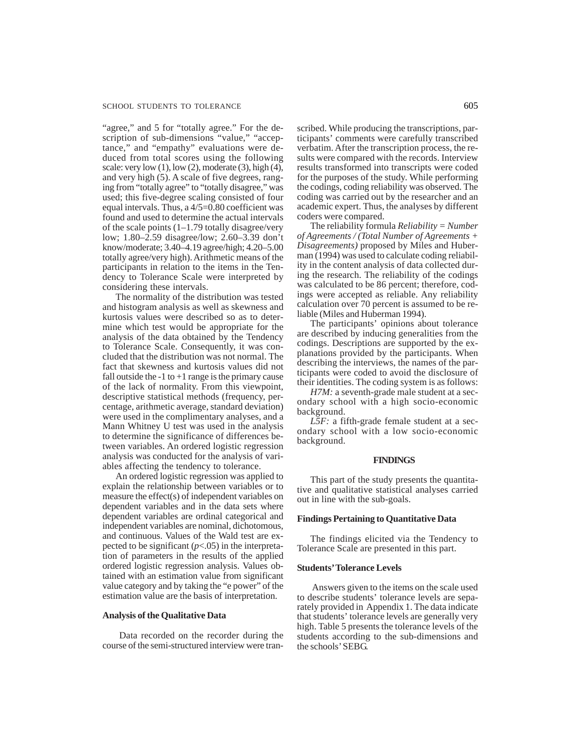"agree," and 5 for "totally agree." For the description of sub-dimensions "value," "acceptance," and "empathy" evaluations were deduced from total scores using the following scale: very low  $(1)$ , low  $(2)$ , moderate  $(3)$ , high  $(4)$ , and very high (5). A scale of five degrees, ranging from "totally agree" to "totally disagree," was used; this five-degree scaling consisted of four equal intervals. Thus, a 4/5=0.80 coefficient was found and used to determine the actual intervals of the scale points  $(1-1.79 \text{ totally disagree/very})$ low; 1.80–2.59 disagree/low; 2.60–3.39 don't know/moderate; 3.40–4.19 agree/high; 4.20–5.00 totally agree/very high). Arithmetic means of the participants in relation to the items in the Tendency to Tolerance Scale were interpreted by considering these intervals.

The normality of the distribution was tested and histogram analysis as well as skewness and kurtosis values were described so as to determine which test would be appropriate for the analysis of the data obtained by the Tendency to Tolerance Scale. Consequently, it was concluded that the distribution was not normal. The fact that skewness and kurtosis values did not fall outside the  $-1$  to  $+1$  range is the primary cause of the lack of normality. From this viewpoint, descriptive statistical methods (frequency, percentage, arithmetic average, standard deviation) were used in the complimentary analyses, and a Mann Whitney U test was used in the analysis to determine the significance of differences between variables. An ordered logistic regression analysis was conducted for the analysis of variables affecting the tendency to tolerance.

An ordered logistic regression was applied to explain the relationship between variables or to measure the effect(s) of independent variables on dependent variables and in the data sets where dependent variables are ordinal categorical and independent variables are nominal, dichotomous, and continuous. Values of the Wald test are expected to be significant  $(p<.05)$  in the interpretation of parameters in the results of the applied ordered logistic regression analysis. Values obtained with an estimation value from significant value category and by taking the "e power" of the estimation value are the basis of interpretation.

#### **Analysis of the Qualitative Data**

Data recorded on the recorder during the course of the semi-structured interview were transcribed. While producing the transcriptions, participants' comments were carefully transcribed verbatim. After the transcription process, the results were compared with the records. Interview results transformed into transcripts were coded for the purposes of the study. While performing the codings, coding reliability was observed. The coding was carried out by the researcher and an academic expert. Thus, the analyses by different coders were compared.

The reliability formula *Reliability = Number of Agreements / (Total Number of Agreements + Disagreements)* proposed by Miles and Huberman (1994) was used to calculate coding reliability in the content analysis of data collected during the research. The reliability of the codings was calculated to be 86 percent; therefore, codings were accepted as reliable. Any reliability calculation over 70 percent is assumed to be reliable (Miles and Huberman 1994).

The participants' opinions about tolerance are described by inducing generalities from the codings. Descriptions are supported by the explanations provided by the participants. When describing the interviews, the names of the participants were coded to avoid the disclosure of their identities. The coding system is as follows:

*H7M:* a seventh-grade male student at a secondary school with a high socio-economic background.

*L5F:* a fifth-grade female student at a secondary school with a low socio-economic background.

#### **FINDINGS**

This part of the study presents the quantitative and qualitative statistical analyses carried out in line with the sub-goals.

#### **Findings Pertaining to Quantitative Data**

The findings elicited via the Tendency to Tolerance Scale are presented in this part.

#### **Students' Tolerance Levels**

Answers given to the items on the scale used to describe students' tolerance levels are separately provided in Appendix 1. The data indicate that students' tolerance levels are generally very high. Table 5 presents the tolerance levels of the students according to the sub-dimensions and the schools' SEBG.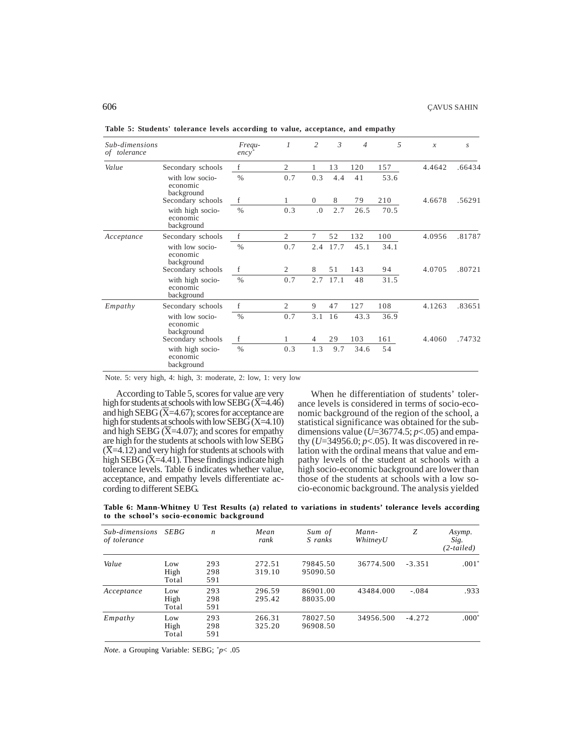| Sub-dimensions<br>of tolerance |                                            | Frequ-<br>$ency^*$ | $\mathcal{I}$  | $\overline{c}$ | $\mathfrak{Z}$ | $\overline{4}$ | 5    | $\mathcal{X}$ | $\boldsymbol{S}$ |
|--------------------------------|--------------------------------------------|--------------------|----------------|----------------|----------------|----------------|------|---------------|------------------|
| Value                          | Secondary schools                          | f                  | 2              | 1              | 13             | 120            | 157  | 4.4642        | .66434           |
|                                | with low socio-<br>economic<br>background  | $\%$               | 0.7            | 0.3            | 4.4            | 41             | 53.6 |               |                  |
|                                | Secondary schools                          | f                  | 1              | $\overline{0}$ | 8              | 79             | 210  | 4.6678        | .56291           |
|                                | with high socio-<br>economic<br>background | $\%$               | 0.3            | 0.0            | 2.7            | 26.5           | 70.5 |               |                  |
| Acceptance                     | Secondary schools                          | f                  | 2              | 7              | 52             | 132            | 100  | 4.0956        | .81787           |
|                                | with low socio-<br>economic<br>background  | $\%$               | 0.7            | 2.4            | 17.7           | 45.1           | 34.1 |               |                  |
|                                | Secondary schools                          | f                  | 2              | 8              | 51             | 143            | 94   | 4.0705        | .80721           |
|                                | with high socio-<br>economic<br>background | $\%$               | 0.7            | 2.7            | 17.1           | 48             | 31.5 |               |                  |
| Empathy                        | Secondary schools                          | f                  | $\overline{2}$ | 9              | 47             | 127            | 108  | 4.1263        | .83651           |
|                                | with low socio-<br>economic<br>background  | $\%$               | 0.7            | 3.1            | 16             | 43.3           | 36.9 |               |                  |
|                                | Secondary schools                          | f                  | 1              | $\overline{4}$ | 29             | 103            | 161  | 4.4060        | .74732           |
|                                | with high socio-<br>economic<br>background | $\%$               | 0.3            | 1.3            | 9.7            | 34.6           | 54   |               |                  |

**Table 5: Students' tolerance levels according to value, acceptance, and empathy**

Note. 5: very high, 4: high, 3: moderate, 2: low, 1: very low

According to Table 5, scores for value are very high for students at schools with low SEBG (X=4.46) and high SEBG  $(X=4.67)$ ; scores for acceptance are high for students at schools with low SEBG  $(X=4.10)$ and high SEBG ( $\overline{X}$ =4.07); and scores for empathy are high for the students at schools with low SEBG  $(\overline{X}=4.12)$  and very high for students at schools with high SEBG  $(X=4.41)$ . These findings indicate high tolerance levels. Table 6 indicates whether value, acceptance, and empathy levels differentiate according to different SEBG.

When he differentiation of students' tolerance levels is considered in terms of socio-economic background of the region of the school, a statistical significance was obtained for the subdimensions value ( $U=36774.5$ ;  $p<.05$ ) and empathy (*U*=34956.0; *p*<.05). It was discovered in relation with the ordinal means that value and empathy levels of the student at schools with a high socio-economic background are lower than those of the students at schools with a low socio-economic background. The analysis yielded

**Table 6: Mann-Whitney U Test Results (a) related to variations in students' tolerance levels according to the school's socio-economic background**

| Sub-dimensions<br>of tolerance | <b>SEBG</b>          | $\boldsymbol{n}$  | Mean<br>rank     | Sum of<br>S ranks    | Mann-<br>WhitneyU | Ζ        | Asymp.<br>Sig.<br>$(2-tailed)$ |
|--------------------------------|----------------------|-------------------|------------------|----------------------|-------------------|----------|--------------------------------|
| Value                          | Low<br>High<br>Total | 293<br>298<br>591 | 272.51<br>319.10 | 79845.50<br>95090.50 | 36774.500         | $-3.351$ | $.001*$                        |
| Acceptance                     | Low<br>High<br>Total | 293<br>298<br>591 | 296.59<br>295.42 | 86901.00<br>88035.00 | 43484.000         | $-.084$  | .933                           |
| Empathy                        | Low<br>High<br>Total | 293<br>298<br>591 | 266.31<br>325.20 | 78027.50<br>96908.50 | 34956.500         | $-4.272$ | $.000*$                        |

*Note.* a Grouping Variable: SEBG; \* *p*< .05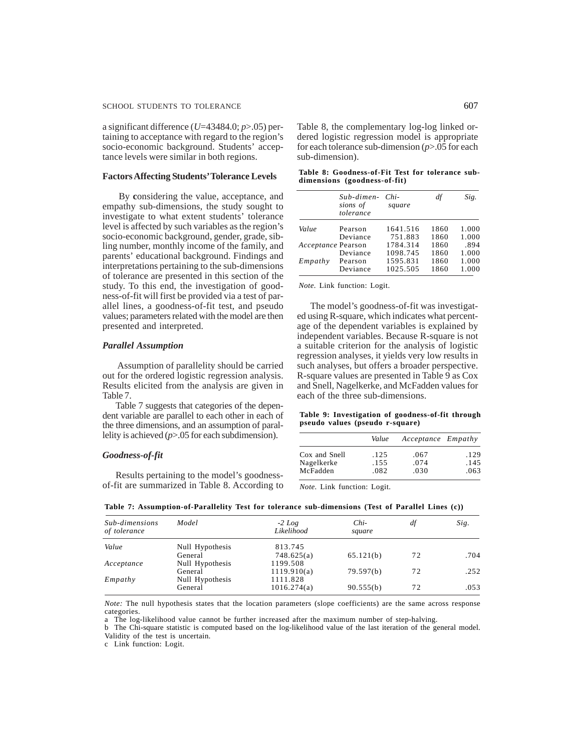a significant difference (*U*=43484.0; *p*>.05) pertaining to acceptance with regard to the region's socio-economic background. Students' acceptance levels were similar in both regions.

#### **Factors Affecting Students' Tolerance Levels**

By **c**onsidering the value, acceptance, and empathy sub-dimensions, the study sought to investigate to what extent students' tolerance level is affected by such variables as the region's socio-economic background, gender, grade, sibling number, monthly income of the family, and parents' educational background. Findings and interpretations pertaining to the sub-dimensions of tolerance are presented in this section of the study. To this end, the investigation of goodness-of-fit will first be provided via a test of parallel lines, a goodness-of-fit test, and pseudo values; parameters related with the model are then presented and interpreted.

#### *Parallel Assumption*

 Assumption of parallelity should be carried out for the ordered logistic regression analysis. Results elicited from the analysis are given in Table 7.

Table 7 suggests that categories of the dependent variable are parallel to each other in each of the three dimensions, and an assumption of parallelity is achieved (*p*>.05 for each subdimension).

# *Goodness-of-fit*

Results pertaining to the model's goodnessof-fit are summarized in Table 8. According to Table 8, the complementary log-log linked ordered logistic regression model is appropriate for each tolerance sub-dimension (*p*>.05 for each sub-dimension).

| Table 8: Goodness-of-Fit Test for tolerance sub- |  |  |
|--------------------------------------------------|--|--|
| dimensions (goodness-of-fit)                     |  |  |

|                    | Sub-dimen-<br>sions of<br>tolerance | Chi-<br>square | df   | Sig.  |
|--------------------|-------------------------------------|----------------|------|-------|
| Value              | Pearson                             | 1641.516       | 1860 | 1.000 |
|                    | Deviance                            | 751.883        | 1860 | 1.000 |
| Acceptance Pearson |                                     | 1784.314       | 1860 | .894  |
|                    | Deviance                            | 1098.745       | 1860 | 1.000 |
| Empathy            | Pearson                             | 1595.831       | 1860 | 1.000 |
|                    | Deviance                            | 1025.505       | 1860 | 1.000 |

*Note.* Link function: Logit.

The model's goodness-of-fit was investigated using R-square, which indicates what percentage of the dependent variables is explained by independent variables. Because R-square is not a suitable criterion for the analysis of logistic regression analyses, it yields very low results in such analyses, but offers a broader perspective. R-square values are presented in Table 9 as Cox and Snell, Nagelkerke, and McFadden values for each of the three sub-dimensions.

**Table 9: Investigation of goodness-of-fit through pseudo values (pseudo r-square)**

|               | Value | Acceptance Empathy |      |
|---------------|-------|--------------------|------|
| Cox and Snell | .125  | .067               | .129 |
| Nagelkerke    | .155  | .074               | .145 |
| McFadden      | .082  | .030               | .063 |

*Note.* Link function: Logit.

| Sub-dimensions<br>of tolerance | Model           | $-2 Log$<br>Likelihood | Chi-<br>square | df | Sig. |
|--------------------------------|-----------------|------------------------|----------------|----|------|
| Value                          | Null Hypothesis | 813.745                |                |    |      |
|                                | General         | 748.625(a)             | 65.121(b)      | 72 | .704 |
| Acceptance                     | Null Hypothesis | 1199.508               |                |    |      |
|                                | General         | 1119.910(a)            | 79.597(b)      | 72 | .252 |
| Empathy                        | Null Hypothesis | 1111.828               |                |    |      |
|                                | General         | 1016.274(a)            | 90.555(b)      | 72 | .053 |

**Table 7: Assumption-of-Parallelity Test for tolerance sub-dimensions (Test of Parallel Lines (c))**

*Note:* The null hypothesis states that the location parameters (slope coefficients) are the same across response categories.

a The log-likelihood value cannot be further increased after the maximum number of step-halving.

b The Chi-square statistic is computed based on the log-likelihood value of the last iteration of the general model. Validity of the test is uncertain.

c Link function: Logit.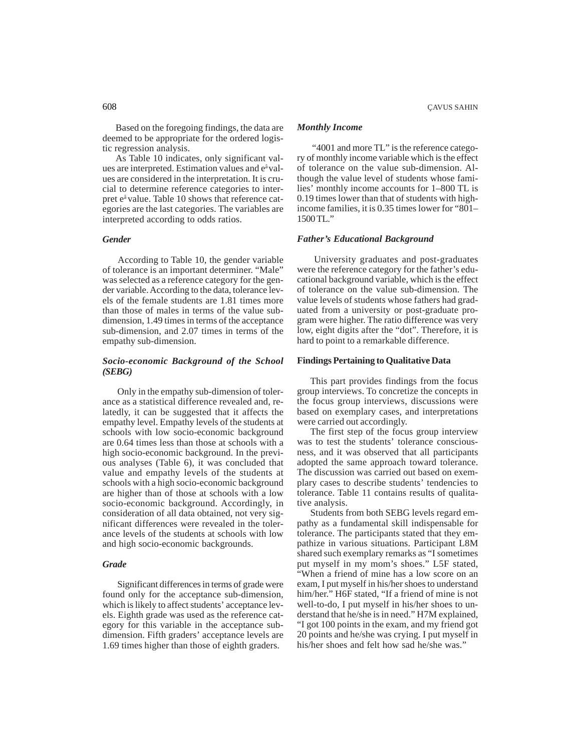Based on the foregoing findings, the data are deemed to be appropriate for the ordered logistic regression analysis.

As Table 10 indicates, only significant values are interpreted. Estimation values and eâ values are considered in the interpretation. It is crucial to determine reference categories to interpret eâ value. Table 10 shows that reference categories are the last categories. The variables are interpreted according to odds ratios.

# *Gender*

 According to Table 10, the gender variable of tolerance is an important determiner. "Male" was selected as a reference category for the gender variable. According to the data, tolerance levels of the female students are 1.81 times more than those of males in terms of the value subdimension, 1.49 times in terms of the acceptance sub-dimension, and 2.07 times in terms of the empathy sub-dimension.

# *Socio-economic Background of the School (SEBG)*

 Only in the empathy sub-dimension of tolerance as a statistical difference revealed and, relatedly, it can be suggested that it affects the empathy level. Empathy levels of the students at schools with low socio-economic background are 0.64 times less than those at schools with a high socio-economic background. In the previous analyses (Table 6), it was concluded that value and empathy levels of the students at schools with a high socio-economic background are higher than of those at schools with a low socio-economic background. Accordingly, in consideration of all data obtained, not very significant differences were revealed in the tolerance levels of the students at schools with low and high socio-economic backgrounds.

# *Grade*

 Significant differences in terms of grade were found only for the acceptance sub-dimension, which is likely to affect students' acceptance levels. Eighth grade was used as the reference category for this variable in the acceptance subdimension. Fifth graders' acceptance levels are 1.69 times higher than those of eighth graders.

# *Monthly Income*

 "4001 and more TL" is the reference category of monthly income variable which is the effect of tolerance on the value sub-dimension. Although the value level of students whose families' monthly income accounts for 1–800 TL is 0.19 times lower than that of students with highincome families, it is 0.35 times lower for "801– 1500 TL."

# *Father's Educational Background*

 University graduates and post-graduates were the reference category for the father's educational background variable, which is the effect of tolerance on the value sub-dimension. The value levels of students whose fathers had graduated from a university or post-graduate program were higher. The ratio difference was very low, eight digits after the "dot". Therefore, it is hard to point to a remarkable difference.

# **Findings Pertaining to Qualitative Data**

This part provides findings from the focus group interviews. To concretize the concepts in the focus group interviews, discussions were based on exemplary cases, and interpretations were carried out accordingly.

The first step of the focus group interview was to test the students' tolerance consciousness, and it was observed that all participants adopted the same approach toward tolerance. The discussion was carried out based on exemplary cases to describe students' tendencies to tolerance. Table 11 contains results of qualitative analysis.

Students from both SEBG levels regard empathy as a fundamental skill indispensable for tolerance. The participants stated that they empathize in various situations. Participant L8M shared such exemplary remarks as "I sometimes put myself in my mom's shoes." L5F stated, "When a friend of mine has a low score on an exam, I put myself in his/her shoes to understand him/her." H6F stated, "If a friend of mine is not well-to-do, I put myself in his/her shoes to understand that he/she is in need." H7M explained, "I got 100 points in the exam, and my friend got 20 points and he/she was crying. I put myself in his/her shoes and felt how sad he/she was."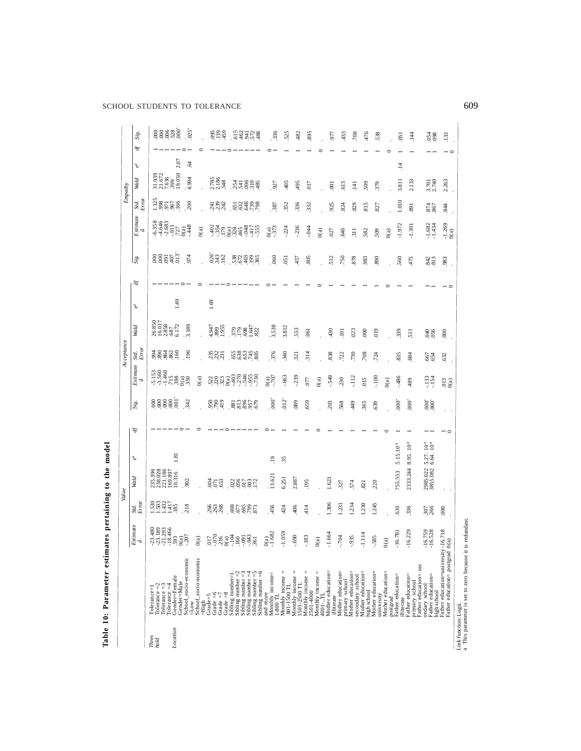SCHOOL STUDENTS TO TOLERANCE 609

|               |                                                                                            |                                                                                                                                                                                                                               | Value            |                                                   |                                                     |   |                     |                                                                                                                                                                                                                                                                                                               | Acceptance          |                                                                            |       |   |                |                                                                                                                 |                   | Empathy                                                                   |                 |                |
|---------------|--------------------------------------------------------------------------------------------|-------------------------------------------------------------------------------------------------------------------------------------------------------------------------------------------------------------------------------|------------------|---------------------------------------------------|-----------------------------------------------------|---|---------------------|---------------------------------------------------------------------------------------------------------------------------------------------------------------------------------------------------------------------------------------------------------------------------------------------------------------|---------------------|----------------------------------------------------------------------------|-------|---|----------------|-----------------------------------------------------------------------------------------------------------------|-------------------|---------------------------------------------------------------------------|-----------------|----------------|
|               |                                                                                            | $\begin{array}{c} Estimate \\ \hat{a} \end{array}$                                                                                                                                                                            | Std.<br>Error    | Wald                                              | Š                                                   | Þ | Sig.                | $Estimate$ $\hat{a}$                                                                                                                                                                                                                                                                                          | $\frac{Srd}{Error}$ | Wald                                                                       | $e^d$ | Ð | Sig.           | $\label{eq:estimate} \begin{array}{c} Existimate\\ \hat{a} \end{array}$                                         | Std.<br>Error     | Wald                                                                      | $e^d$           | Sig.<br>Ð      |
| Thres<br>hold | $Iolerance = 3$<br>$Iolerance = 2$<br>Tolerance=1                                          | $\begin{array}{l} 3.480 \\ 7.3183 \\ 7.31293 \\ 7.43146 \\ 8.333 \\ 7.4346 \\ 8.333 \\ \hline \end{array}$                                                                                                                    | ggger<br>Seger   | 235.396<br>238.028<br>221.186<br>10.316<br>10.316 |                                                     |   | 88885               | $\begin{array}{l} 153 \\ 1560 \\ 7740 \\ 999 \\ 1999 \\ 1999 \\ 1999 \\ 1999 \\ 1999 \\ 1999 \\ 1999 \\ 1999 \\ 1999 \\ 1999 \\ 1999 \\ 1999 \\ 1999 \\ 1999 \\ 1999 \\ 1999 \\ 1999 \\ 1999 \\ 1999 \\ 1999 \\ 1999 \\ 1999 \\ 1999 \\ 1999 \\ 1999 \\ 1999 \\ 1999 \\ 1999 \\ 1999 \\ 1999 \\ 1999 \\ 1999$ | 32285               | $\begin{array}{l} 26.850 \\ 16.017 \\ 2.858 \\ 6.172 \\ 6.172 \end{array}$ |       |   | egeat.         |                                                                                                                 | 188589            | $\begin{array}{l} 31.939 \\ 21.672 \\ 7.636 \\ 399 \\ 19.050 \end{array}$ |                 | 88888          |
| Location      | Gender=Female<br>Gender=Male<br>$Iolerance = 4$                                            |                                                                                                                                                                                                                               | 218              | .902                                              | 1.81                                                |   | 342                 |                                                                                                                                                                                                                                                                                                               |                     |                                                                            | 1.49  |   |                | $64683$<br>$64683$<br>$64683$<br>$64722$<br>$683$<br>$648$                                                      |                   |                                                                           | 2.07            |                |
|               | School_socio-economic<br>School_socio-economic<br>$=$ Low                                  |                                                                                                                                                                                                                               |                  |                                                   |                                                     |   |                     | O(a)                                                                                                                                                                                                                                                                                                          | 196                 | 3.189                                                                      |       |   | 074            | O(a)                                                                                                            | 200               | 4.994                                                                     | g               | .025           |
|               | Grade $=6$<br>Grade=5<br>$=$ High                                                          |                                                                                                                                                                                                                               | 3638             | 858                                               |                                                     |   | 5889                |                                                                                                                                                                                                                                                                                                               | 3337                |                                                                            | 1.69  |   |                |                                                                                                                 |                   |                                                                           |                 |                |
|               | Grade $=8$<br>Grade $=7$                                                                   |                                                                                                                                                                                                                               |                  |                                                   |                                                     |   |                     |                                                                                                                                                                                                                                                                                                               |                     | 4947<br>899<br>1.955                                                       |       |   | $842$<br>$842$ |                                                                                                                 | $\frac{433}{224}$ | 2.785<br>2.186                                                            |                 | $889$<br>$459$ |
|               | Sibling number $=$ 2<br>Sibling number=1                                                   | $(3)$ 5 $(3)$ 6 $(3)$ 6 $(3)$ 6 $(3)$ 6 $(3)$ 6 $(3)$ 6 $(3)$ 6 $(3)$ 6 $(3)$ 6 $(3)$ 6 $(3)$ 6 $(3)$ 6 $(3)$ 6 $(3)$ 6 $(3)$ 6 $(3)$ 6 $(3)$ 6 $(3)$ 6 $(3)$ 6 $(3)$ 6 $(3)$ 6 $(3)$ 6 $(3)$ 6 $(3)$ 6 $(3)$ 6 $(3)$ 6 $(3)$ | E885<br>865      | 88585                                             |                                                     |   | 83856               |                                                                                                                                                                                                                                                                                                               | <b>688358</b>       |                                                                            |       |   |                |                                                                                                                 |                   |                                                                           |                 |                |
|               | $Sibling number = 5$<br>Sibling number = 6<br>Sibling number $=$ 3<br>Sibling number $=$ 4 |                                                                                                                                                                                                                               |                  |                                                   |                                                     |   |                     | ลลลอริการ์ตูล                                                                                                                                                                                                                                                                                                 |                     | <b>BE852</b>                                                               |       |   | 32928          | $37.8$ $37.8$ $37.8$ $37.7$ $37.8$ $37.7$ $37.7$ $37.7$ $37.7$ $37.7$ $37.7$ $37.7$ $37.7$ $37.7$ $37.7$ $37.7$ | <b>EGGERS</b>     | 3382\$                                                                    |                 | 34378          |
|               | Monthly income=<br>and more<br>$1-800$ TL                                                  | $^{(a)}_{1.682}$                                                                                                                                                                                                              | 456              | 13.621                                            | $\ddot{ }$                                          |   | $\overline{8}$      | $0(a)$<br>$-707$                                                                                                                                                                                                                                                                                              | 376                 | 3.538                                                                      |       |   | .60            | $^{0(a)}_{-373}$                                                                                                | .387              | $-927$                                                                    |                 | 336            |
|               | Monthly income =<br>801-1500 TL                                                            | 1.059                                                                                                                                                                                                                         | 424              | 6.251                                             | 35                                                  |   | $.012$ <sup>*</sup> | $-0.663$                                                                                                                                                                                                                                                                                                      | .340                | 3.812                                                                      |       |   | 051            | $-224$                                                                                                          | 352               | 405                                                                       |                 | 525            |
|               | Monthly income =<br>1501-2500 TL                                                           | $069 -$                                                                                                                                                                                                                       | 406              | 2.887                                             |                                                     |   | 089                 | $-239$                                                                                                                                                                                                                                                                                                        | 321                 | 553                                                                        |       |   | 457            | .236                                                                                                            | 336               | 495                                                                       |                 | .482           |
|               | Monthly income =<br>2501-4000                                                              | $-183$                                                                                                                                                                                                                        | 414              | 195                                               |                                                     |   | 659                 | 077                                                                                                                                                                                                                                                                                                           | 314                 | $-061$                                                                     |       |   | 805            | $-044$                                                                                                          | 332               | 017                                                                       |                 | 895            |
|               | Monthly income =<br>4001TL                                                                 | 0(a)                                                                                                                                                                                                                          |                  |                                                   |                                                     |   |                     | O(a)                                                                                                                                                                                                                                                                                                          |                     |                                                                            |       |   |                | O(a)                                                                                                            |                   |                                                                           |                 |                |
|               | Mother education=<br>illiterate                                                            | 1.664                                                                                                                                                                                                                         | .306             | 1.623                                             |                                                     |   | 203                 | $-549$                                                                                                                                                                                                                                                                                                        | 838                 | 430                                                                        |       |   | 512            | .027                                                                                                            | 925               | $\overline{0}$                                                            |                 | 977            |
|               | Mother education=<br>primary school                                                        | $-704$                                                                                                                                                                                                                        | 1.231            | 327                                               |                                                     |   | 568                 | 230                                                                                                                                                                                                                                                                                                           | .722                | $\Xi$                                                                      |       |   | .750           | 646                                                                                                             | 824               | 615                                                                       |                 | 433            |
|               | Mother education=<br>secondary school                                                      | $-935$                                                                                                                                                                                                                        | 1.234            | 574                                               |                                                     |   | 449                 | $-112$                                                                                                                                                                                                                                                                                                        | 730                 | 023                                                                        |       |   | 878            | $\overline{3}$                                                                                                  | 829               | $\overline{141}$                                                          |                 | $708\,$        |
|               | Mother education=<br>high school                                                           | $-1.114$                                                                                                                                                                                                                      | 1.230            | 821                                               |                                                     |   | 365                 | 015                                                                                                                                                                                                                                                                                                           | 708                 | 600                                                                        |       |   | 983            | 582                                                                                                             | 815               | 509                                                                       |                 | 476            |
|               | Mother education=<br>university                                                            | $-585$                                                                                                                                                                                                                        | 1.245            | 220                                               |                                                     |   | 639                 | $-100$                                                                                                                                                                                                                                                                                                        | 724                 | 019                                                                        |       |   | 890            | 509                                                                                                             | 827               | 379                                                                       |                 | 538            |
|               | Mother education=<br>postgrad                                                              | $0(a)$                                                                                                                                                                                                                        |                  |                                                   |                                                     |   |                     | O(a)                                                                                                                                                                                                                                                                                                          |                     |                                                                            |       |   |                | O(a)                                                                                                            |                   |                                                                           |                 |                |
|               | Pather education=<br>illiterate                                                            | 6.781                                                                                                                                                                                                                         | 610              | 755.553                                           | 5.15.10 <sup>-8</sup>                               |   | $60^\circ$          | .486                                                                                                                                                                                                                                                                                                          | 835                 | 339                                                                        |       |   | 560            | $-1.972$                                                                                                        | 1.010             | 3.811                                                                     | $\overline{14}$ | 051            |
|               | Father education=<br>primary school                                                        | 6.229<br>Ţ                                                                                                                                                                                                                    | 336              | 2333.244                                          | $10-8$<br>8.95.                                     |   | $000^*$             | 489                                                                                                                                                                                                                                                                                                           | .684                | $-511$                                                                     |       |   | 475            | $-1.301$                                                                                                        | 891               | 2.133                                                                     |                 | 144            |
|               | Father education= sec<br>Father education=<br>ondary school<br>high school                 | 6.759<br>16.528<br>7<br>7                                                                                                                                                                                                     | 307              | 2985.022<br>3855.082                              | $^{8}$ <sub>10</sub> <sup>*</sup><br>5.27.<br>6.64. |   | $\frac{6}{6}$       | $-133$                                                                                                                                                                                                                                                                                                        | 654                 | 040<br>056                                                                 |       |   | 842            | $-1.682$<br>$-1.434$                                                                                            | 867               | 3.701<br>2.740                                                            |                 | 054<br>098     |
|               | $\frac{18}{18}$<br>Father education= postgrad 0(a)                                         |                                                                                                                                                                                                                               | $\overline{000}$ |                                                   |                                                     |   |                     | 0(3)                                                                                                                                                                                                                                                                                                          | .632                | 000                                                                        |       |   | .983           | $\frac{-1.269}{0(a)}$                                                                                           | .844              | 2.263                                                                     |                 | .133<br>- ت    |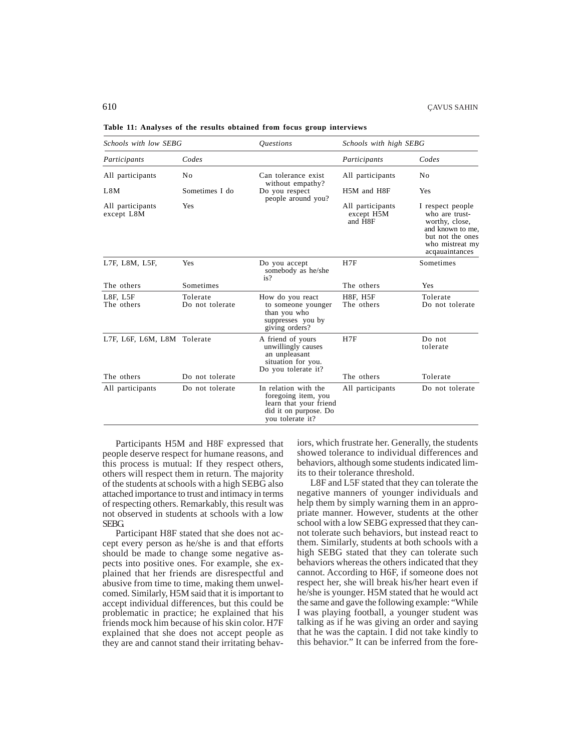|  |  |  |  |  |  |  |  |  |  | Table 11: Analyses of the results obtained from focus group interviews |  |
|--|--|--|--|--|--|--|--|--|--|------------------------------------------------------------------------|--|
|--|--|--|--|--|--|--|--|--|--|------------------------------------------------------------------------|--|

| Schools with low SEBG          |                             | <i><u><b>Ouestions</b></u></i>                                                                                     | Schools with high SEBG                    |                                                                                                                                   |
|--------------------------------|-----------------------------|--------------------------------------------------------------------------------------------------------------------|-------------------------------------------|-----------------------------------------------------------------------------------------------------------------------------------|
| Participants                   | Codes                       |                                                                                                                    | Participants                              | Codes                                                                                                                             |
| All participants               | N <sub>0</sub>              | Can tolerance exist<br>without empathy?                                                                            | All participants                          | No                                                                                                                                |
| L8M                            | Sometimes I do              | Do you respect<br>people around you?                                                                               | H5M and H8F                               | Yes                                                                                                                               |
| All participants<br>except L8M | Yes                         |                                                                                                                    | All participants<br>except H5M<br>and H8F | I respect people<br>who are trust-<br>worthy, close,<br>and known to me,<br>but not the ones<br>who mistreat my<br>acqauaintances |
| L7F, L8M, L5F,                 | Yes                         | Do you accept<br>somebody as he/she<br>is?                                                                         | H7F                                       | Sometimes                                                                                                                         |
| The others                     | Sometimes                   |                                                                                                                    | The others                                | Yes                                                                                                                               |
| $L8F$ , $L5F$<br>The others    | Tolerate<br>Do not tolerate | How do you react<br>to someone younger<br>than you who<br>suppresses you by<br>giving orders?                      | <b>H8F, H5F</b><br>The others             | Tolerate<br>Do not tolerate                                                                                                       |
| L7F, L6F, L6M, L8M Tolerate    |                             | A friend of yours<br>unwillingly causes<br>an unpleasant<br>situation for you.<br>Do you tolerate it?              | H7F                                       | Do not<br>tolerate                                                                                                                |
| The others                     | Do not tolerate             |                                                                                                                    | The others                                | Tolerate                                                                                                                          |
| All participants               | Do not tolerate             | In relation with the<br>foregoing item, you<br>learn that your friend<br>did it on purpose. Do<br>you tolerate it? | All participants                          | Do not tolerate                                                                                                                   |

Participants H5M and H8F expressed that people deserve respect for humane reasons, and this process is mutual: If they respect others, others will respect them in return. The majority of the students at schools with a high SEBG also attached importance to trust and intimacy in terms of respecting others. Remarkably, this result was not observed in students at schools with a low SEBG.

Participant H8F stated that she does not accept every person as he/she is and that efforts should be made to change some negative aspects into positive ones. For example, she explained that her friends are disrespectful and abusive from time to time, making them unwelcomed. Similarly, H5M said that it is important to accept individual differences, but this could be problematic in practice; he explained that his friends mock him because of his skin color. H7F explained that she does not accept people as they are and cannot stand their irritating behaviors, which frustrate her. Generally, the students showed tolerance to individual differences and behaviors, although some students indicated limits to their tolerance threshold.

L8F and L5F stated that they can tolerate the negative manners of younger individuals and help them by simply warning them in an appropriate manner. However, students at the other school with a low SEBG expressed that they cannot tolerate such behaviors, but instead react to them. Similarly, students at both schools with a high SEBG stated that they can tolerate such behaviors whereas the others indicated that they cannot. According to H6F, if someone does not respect her, she will break his/her heart even if he/she is younger. H5M stated that he would act the same and gave the following example: "While I was playing football, a younger student was talking as if he was giving an order and saying that he was the captain. I did not take kindly to this behavior." It can be inferred from the fore-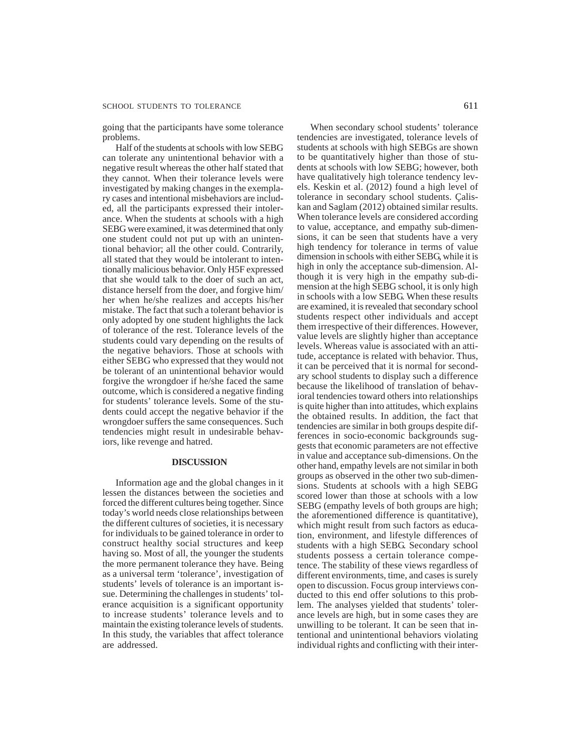# SCHOOL STUDENTS TO TOLERANCE 611

going that the participants have some tolerance problems.

Half of the students at schools with low SEBG can tolerate any unintentional behavior with a negative result whereas the other half stated that they cannot. When their tolerance levels were investigated by making changes in the exemplary cases and intentional misbehaviors are included, all the participants expressed their intolerance. When the students at schools with a high SEBG were examined, it was determined that only one student could not put up with an unintentional behavior; all the other could. Contrarily, all stated that they would be intolerant to intentionally malicious behavior. Only H5F expressed that she would talk to the doer of such an act, distance herself from the doer, and forgive him/ her when he/she realizes and accepts his/her mistake. The fact that such a tolerant behavior is only adopted by one student highlights the lack of tolerance of the rest. Tolerance levels of the students could vary depending on the results of the negative behaviors. Those at schools with either SEBG who expressed that they would not be tolerant of an unintentional behavior would forgive the wrongdoer if he/she faced the same outcome, which is considered a negative finding for students' tolerance levels. Some of the students could accept the negative behavior if the wrongdoer suffers the same consequences. Such tendencies might result in undesirable behaviors, like revenge and hatred.

# **DISCUSSION**

Information age and the global changes in it lessen the distances between the societies and forced the different cultures being together. Since today's world needs close relationships between the different cultures of societies, it is necessary for individuals to be gained tolerance in order to construct healthy social structures and keep having so. Most of all, the younger the students the more permanent tolerance they have. Being as a universal term 'tolerance', investigation of students' levels of tolerance is an important issue. Determining the challenges in students' tolerance acquisition is a significant opportunity to increase students' tolerance levels and to maintain the existing tolerance levels of students. In this study, the variables that affect tolerance are addressed.

When secondary school students' tolerance tendencies are investigated, tolerance levels of students at schools with high SEBGs are shown to be quantitatively higher than those of students at schools with low SEBG; however, both have qualitatively high tolerance tendency levels. Keskin et al. (2012) found a high level of tolerance in secondary school students. Çaliskan and Saglam (2012) obtained similar results. When tolerance levels are considered according to value, acceptance, and empathy sub-dimensions, it can be seen that students have a very high tendency for tolerance in terms of value dimension in schools with either SEBG, while it is high in only the acceptance sub-dimension. Although it is very high in the empathy sub-dimension at the high SEBG school, it is only high in schools with a low SEBG. When these results are examined, it is revealed that secondary school students respect other individuals and accept them irrespective of their differences. However, value levels are slightly higher than acceptance levels. Whereas value is associated with an attitude, acceptance is related with behavior. Thus, it can be perceived that it is normal for secondary school students to display such a difference because the likelihood of translation of behavioral tendencies toward others into relationships is quite higher than into attitudes, which explains the obtained results. In addition, the fact that tendencies are similar in both groups despite differences in socio-economic backgrounds suggests that economic parameters are not effective in value and acceptance sub-dimensions. On the other hand, empathy levels are not similar in both groups as observed in the other two sub-dimensions. Students at schools with a high SEBG scored lower than those at schools with a low SEBG (empathy levels of both groups are high; the aforementioned difference is quantitative), which might result from such factors as education, environment, and lifestyle differences of students with a high SEBG. Secondary school students possess a certain tolerance competence. The stability of these views regardless of different environments, time, and cases is surely open to discussion. Focus group interviews conducted to this end offer solutions to this problem. The analyses yielded that students' tolerance levels are high, but in some cases they are unwilling to be tolerant. It can be seen that intentional and unintentional behaviors violating individual rights and conflicting with their inter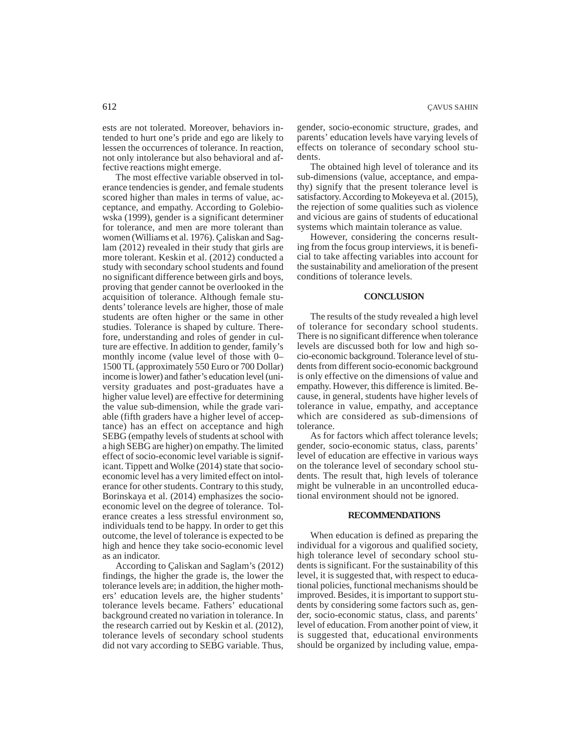ests are not tolerated. Moreover, behaviors intended to hurt one's pride and ego are likely to lessen the occurrences of tolerance. In reaction, not only intolerance but also behavioral and affective reactions might emerge.

The most effective variable observed in tolerance tendencies is gender, and female students scored higher than males in terms of value, acceptance, and empathy. According to Golebiowska (1999), gender is a significant determiner for tolerance, and men are more tolerant than women (Williams et al. 1976). Çaliskan and Saglam (2012) revealed in their study that girls are more tolerant. Keskin et al. (2012) conducted a study with secondary school students and found no significant difference between girls and boys, proving that gender cannot be overlooked in the acquisition of tolerance. Although female students' tolerance levels are higher, those of male students are often higher or the same in other studies. Tolerance is shaped by culture. Therefore, understanding and roles of gender in culture are effective. In addition to gender, family's monthly income (value level of those with 0– 1500 TL (approximately 550 Euro or 700 Dollar) income is lower) and father's education level (university graduates and post-graduates have a higher value level) are effective for determining the value sub-dimension, while the grade variable (fifth graders have a higher level of acceptance) has an effect on acceptance and high SEBG (empathy levels of students at school with a high SEBG are higher) on empathy. The limited effect of socio-economic level variable is significant. Tippett and Wolke (2014) state that socioeconomic level has a very limited effect on intolerance for other students. Contrary to this study, Borinskaya et al. (2014) emphasizes the socioeconomic level on the degree of tolerance. Tolerance creates a less stressful environment so, individuals tend to be happy. In order to get this outcome, the level of tolerance is expected to be high and hence they take socio-economic level as an indicator.

According to Çaliskan and Saglam's (2012) findings, the higher the grade is, the lower the tolerance levels are; in addition, the higher mothers' education levels are, the higher students' tolerance levels became. Fathers' educational background created no variation in tolerance. In the research carried out by Keskin et al. (2012), tolerance levels of secondary school students did not vary according to SEBG variable. Thus,

gender, socio-economic structure, grades, and parents' education levels have varying levels of effects on tolerance of secondary school students.

The obtained high level of tolerance and its sub-dimensions (value, acceptance, and empathy) signify that the present tolerance level is satisfactory. According to Mokeyeva et al. (2015), the rejection of some qualities such as violence and vicious are gains of students of educational systems which maintain tolerance as value.

However, considering the concerns resulting from the focus group interviews, it is beneficial to take affecting variables into account for the sustainability and amelioration of the present conditions of tolerance levels.

# **CONCLUSION**

The results of the study revealed a high level of tolerance for secondary school students. There is no significant difference when tolerance levels are discussed both for low and high socio-economic background. Tolerance level of students from different socio-economic background is only effective on the dimensions of value and empathy. However, this difference is limited. Because, in general, students have higher levels of tolerance in value, empathy, and acceptance which are considered as sub-dimensions of tolerance.

As for factors which affect tolerance levels; gender, socio-economic status, class, parents' level of education are effective in various ways on the tolerance level of secondary school students. The result that, high levels of tolerance might be vulnerable in an uncontrolled educational environment should not be ignored.

#### **RECOMMENDATIONS**

When education is defined as preparing the individual for a vigorous and qualified society, high tolerance level of secondary school students is significant. For the sustainability of this level, it is suggested that, with respect to educational policies, functional mechanisms should be improved. Besides, it is important to support students by considering some factors such as, gender, socio-economic status, class, and parents' level of education. From another point of view, it is suggested that, educational environments should be organized by including value, empa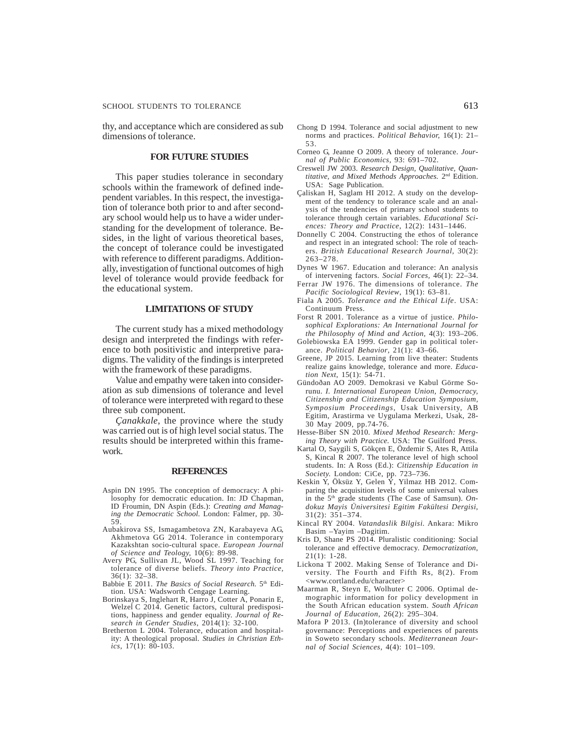thy, and acceptance which are considered as sub dimensions of tolerance.

# **FOR FUTURE STUDIES**

This paper studies tolerance in secondary schools within the framework of defined independent variables. In this respect, the investigation of tolerance both prior to and after secondary school would help us to have a wider understanding for the development of tolerance. Besides, in the light of various theoretical bases, the concept of tolerance could be investigated with reference to different paradigms. Additionally, investigation of functional outcomes of high level of tolerance would provide feedback for the educational system.

# **LIMITATIONS OF STUDY**

The current study has a mixed methodology design and interpreted the findings with reference to both positivistic and interpretive paradigms. The validity of the findings is interpreted with the framework of these paradigms.

Value and empathy were taken into consideration as sub dimensions of tolerance and level of tolerance were interpreted with regard to these three sub component.

*Çanakkale*, the province where the study was carried out is of high level social status. The results should be interpreted within this framework.

#### **REFERENCES**

- Aspin DN 1995. The conception of democracy: A philosophy for democratic education. In: JD Chapman, ID Froumin, DN Aspin (Eds.): *Creating and Managing the Democratic School.* London: Falmer, pp. 30- 59.
- Aubakirova SS, Ismagambetova ZN, Karabayeva AG, Akhmetova GG 2014. Tolerance in contemporary Kazakshtan socio-cultural space. *European Journal of Science and Teology,* 10(6): 89-98.
- Avery PG, Sullivan JL, Wood SL 1997. Teaching for tolerance of diverse beliefs. *Theory into Practice,* 36(1): 32–38.
- Babbie E 2011. *The Basics of Social Research.* 5th Edition. USA: Wadsworth Cengage Learning.
- Borinskaya S, Inglehart R, Harro J, Cotter A, Ponarin E, Welzel C 2014. Genetic factors, cultural predispositions, happiness and gender equality. *Journal of Research in Gender Studies*, 2014(1): 32-100.
- Bretherton L 2004. Tolerance, education and hospitality: A theological proposal. *Studies in Christian Ethics,* 17(1): 80-103.
- Chong D 1994. Tolerance and social adjustment to new norms and practices. *Political Behavior,* 16(1): 21– 53.
- Corneo G, Jeanne O 2009. A theory of tolerance. *Journal of Public Economics,* 93: 691–702.
- Creswell JW 2003. *Research Design, Qualitative, Quantitative, and Mixed Methods Approaches.* 2nd Edition. USA: Sage Publication.
- Çaliskan H, Saglam HI 2012. A study on the development of the tendency to tolerance scale and an analysis of the tendencies of primary school students to tolerance through certain variables. *Educational Sciences: Theory and Practice,* 12(2): 1431–1446.
- Donnelly C 2004. Constructing the ethos of tolerance and respect in an integrated school: The role of teachers. *British Educational Research Journal,* 30(2): 263–278.
- Dynes W 1967. Education and tolerance: An analysis of intervening factors. *Social Forces,* 46(1): 22–34.
- Ferrar JW 1976. The dimensions of tolerance. *The Pacific Sociological Review*, 19(1): 63–81.
- Fiala A 2005. *Tolerance and the Ethical Life*. USA: Continuum Press.
- Forst R 2001. Tolerance as a virtue of justice. *Philosophical Explorations: An International Journal for the Philosophy of Mind and Action,* 4(3): 193–206.
- Golebiowska EA 1999. Gender gap in political tolerance. *Political Behavior*, 21(1): 43–66.
- Greene, JP 2015. Learning from live theater: Students realize gains knowledge, tolerance and more. *Education Next,* 15(1): 54-71.
- Gündoðan AO 2009. Demokrasi ve Kabul Görme Sorunu. *I. International European Union, Democracy, Citizenship and Citizenship Education Symposium, Symposium Proceedings,* Usak University, AB Egitim, Arastirma ve Uygulama Merkezi, Usak, 28- 30 May 2009, pp.74-76.
- Hesse-Biber SN 2010. *Mixed Method Research: Merging Theory with Practice.* USA: The Guilford Press.
- Kartal O, Saygili S, Gökçen E, Özdemir S, Ates R, Attila S, Kincal R 2007. The tolerance level of high school students. In: A Ross (Ed.): *Citizenship Education in Society.* London: CiCe, pp. 723–736.
- Keskin Y, Öksüz Y, Gelen Ý, Yilmaz HB 2012. Comparing the acquisition levels of some universal values in the 5th grade students (The Case of Samsun). *Ondokuz Mayis Üniversitesi Egitim Fakültesi Dergisi*, 31(2): 351–374.
- Kincal RY 2004. *Vatandaslik Bilgisi.* Ankara: Mikro Basim –Yayim –Dagitim.
- Kris D, Shane PS 2014. Pluralistic conditioning: Social tolerance and effective democracy. *Democratization*, 21(1): 1-28.
- Lickona T 2002. Making Sense of Tolerance and Diversity. The Fourth and Fifth Rs, 8(2). From <www.cortland.edu/character>
- Maarman R, Steyn E, Wolhuter C 2006. Optimal demographic information for policy development in the South African education system. *South African Journal of Education,* 26(2): 295–304.
- Mafora P 2013. (In)tolerance of diversity and school governance: Perceptions and experiences of parents in Soweto secondary schools. *Mediterranean Journal of Social Sciences,* 4(4): 101–109.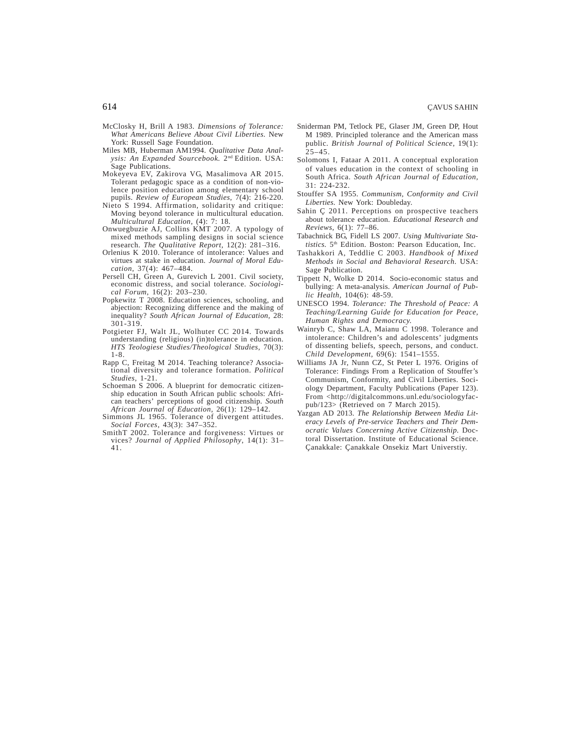- McClosky H, Brill A 1983. *Dimensions of Tolerance: What Americans Believe About Civil Liberties.* New York: Russell Sage Foundation.
- Miles MB, Huberman AM1994. *Qualitative Data Analysis: An Expanded Sourcebook.* 2nd Edition. USA: Sage Publications.
- Mokeyeva EV, Zakirova VG, Masalimova AR 2015. Tolerant pedagogic space as a condition of non-violence position education among elementary school pupils. *Review of European Studies,* 7(4): 216-220.
- Nieto S 1994. Affirmation, solidarity and critique: Moving beyond tolerance in multicultural education. *Multicultural Education,* (4): 7: 18.
- Onwuegbuzie AJ, Collins KMT 2007. A typology of mixed methods sampling designs in social science research. *The Qualitative Report,* 12(2): 281–316.
- Orlenius K 2010. Tolerance of intolerance: Values and virtues at stake in education. *Journal of Moral Education*, 37(4): 467–484.
- Persell CH, Green A, Gurevich L 2001. Civil society, economic distress, and social tolerance. *Sociological Forum*, 16(2): 203–230.
- Popkewitz T 2008. Education sciences, schooling, and abjection: Recognizing difference and the making of inequality? *South African Journal of Education,* 28: 301-319.
- Potgieter FJ, Walt JL, Wolhuter CC 2014. Towards understanding (religious) (in)tolerance in education. *HTS Teologiese Studies/Theological Studies,* 70(3): 1-8.
- Rapp C, Freitag M 2014. Teaching tolerance? Associational diversity and tolerance formation. *Political Studies,* 1-21.
- Schoeman S 2006. A blueprint for democratic citizenship education in South African public schools: African teachers' perceptions of good citizenship. *South African Journal of Education,* 26(1): 129–142.
- Simmons JL 1965. Tolerance of divergent attitudes. *Social Forces*, 43(3): 347–352.
- SmithT 2002. Tolerance and forgiveness: Virtues or vices? *Journal of Applied Philosophy*, 14(1): 31– 41.
- Sniderman PM, Tetlock PE, Glaser JM, Green DP, Hout M 1989. Principled tolerance and the American mass public. *British Journal of Political Science*, 19(1):  $25 - 45$ .
- Solomons I, Fataar A 2011. A conceptual exploration of values education in the context of schooling in South Africa. *South African Journal of Education,* 31: 224-232.
- Stouffer SA 1955. *Communism, Conformity and Civil Liberties.* New York: Doubleday.
- Sahin Ç 2011. Perceptions on prospective teachers about tolerance education. *Educational Research and Reviews,* 6(1): 77–86.
- Tabachnick BG, Fidell LS 2007. *Using Multivariate Statistics.* 5th Edition. Boston: Pearson Education, Inc.
- Tashakkori A, Teddlie C 2003. *Handbook of Mixed Methods in Social and Behavioral Research.* USA: Sage Publication.
- Tippett N, Wolke D 2014. Socio-economic status and bullying: A meta-analysis. *American Journal of Public Health,* 104(6): 48-59.
- UNESCO 1994. *Tolerance: The Threshold of Peace: A Teaching/Learning Guide for Education for Peace, Human Rights and Democracy.*
- Wainryb C, Shaw LA, Maianu C 1998. Tolerance and intolerance: Children's and adolescents' judgments of dissenting beliefs, speech, persons, and conduct. *Child Development*, 69(6): 1541–1555.
- Williams JA Jr, Nunn CZ, St Peter L 1976. Origins of Tolerance: Findings From a Replication of Stouffer's Communism, Conformity, and Civil Liberties. Sociology Department, Faculty Publications (Paper 123). From <http://digitalcommons.unl.edu/sociologyfacpub/123> (Retrieved on 7 March 2015).
- Yazgan AD 2013. *The Relationship Between Media Literacy Levels of Pre-service Teachers and Their Democratic Values Concerning Active Citizenship.* Doctoral Dissertation. Institute of Educational Science. Çanakkale: Çanakkale Onsekiz Mart Universtiy.